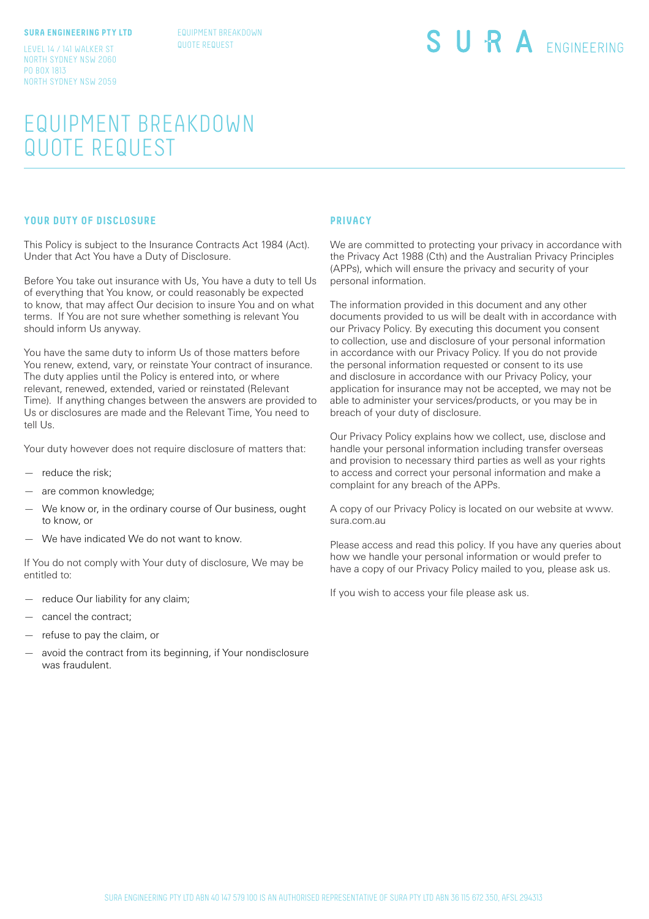#### **SURA ENGINEERING PTY LTD**

EQUIPMENT BREAKDOWN QUOTE REQUEST

LEVEL 14 / 141 WALKER ST NORTH SYDNEY NSW 2060 PO BOX 1813 NORTH SYDNEY NSW 2059

# SURA ENGINEERING

## EQUIPMENT BREAKDOWN QUOTE REQUEST

#### **YOUR DUTY OF DISCLOSURE**

This Policy is subject to the Insurance Contracts Act 1984 (Act). Under that Act You have a Duty of Disclosure.

Before You take out insurance with Us, You have a duty to tell Us of everything that You know, or could reasonably be expected to know, that may affect Our decision to insure You and on what terms. If You are not sure whether something is relevant You should inform Us anyway.

You have the same duty to inform Us of those matters before You renew, extend, vary, or reinstate Your contract of insurance. The duty applies until the Policy is entered into, or where relevant, renewed, extended, varied or reinstated (Relevant Time). If anything changes between the answers are provided to Us or disclosures are made and the Relevant Time, You need to tell Us.

Your duty however does not require disclosure of matters that:

- reduce the risk:
- are common knowledge;
- We know or, in the ordinary course of Our business, ought to know, or
- We have indicated We do not want to know.

If You do not comply with Your duty of disclosure, We may be entitled to:

- reduce Our liability for any claim;
- cancel the contract;
- refuse to pay the claim, or
- avoid the contract from its beginning, if Your nondisclosure was fraudulent.

#### **PRIVACY**

We are committed to protecting your privacy in accordance with the Privacy Act 1988 (Cth) and the Australian Privacy Principles (APPs), which will ensure the privacy and security of your personal information.

The information provided in this document and any other documents provided to us will be dealt with in accordance with our Privacy Policy. By executing this document you consent to collection, use and disclosure of your personal information in accordance with our Privacy Policy. If you do not provide the personal information requested or consent to its use and disclosure in accordance with our Privacy Policy, your application for insurance may not be accepted, we may not be able to administer your services/products, or you may be in breach of your duty of disclosure.

Our Privacy Policy explains how we collect, use, disclose and handle your personal information including transfer overseas and provision to necessary third parties as well as your rights to access and correct your personal information and make a complaint for any breach of the APPs.

A copy of our Privacy Policy is located on our website at www. sura.com.au

Please access and read this policy. If you have any queries about how we handle your personal information or would prefer to have a copy of our Privacy Policy mailed to you, please ask us.

If you wish to access your file please ask us.